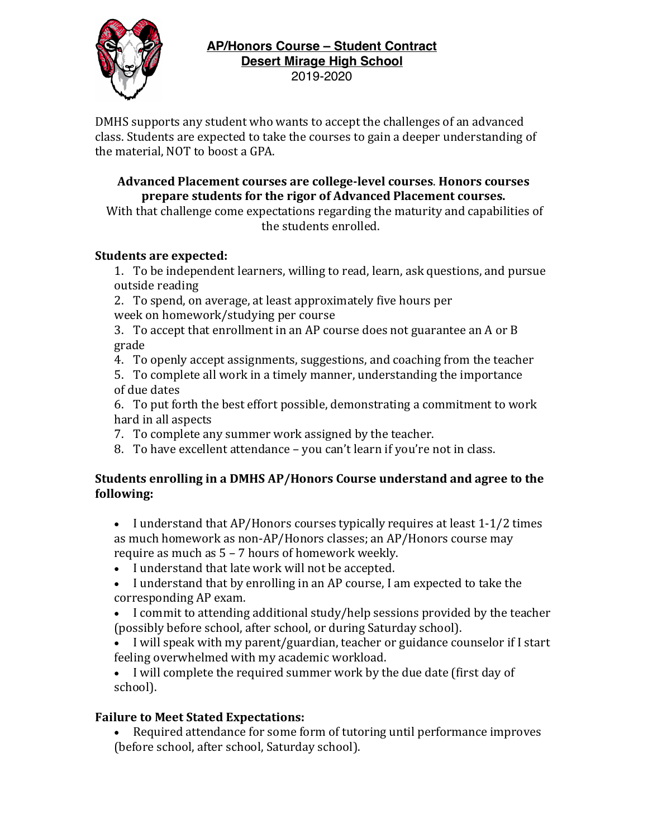

DMHS supports any student who wants to accept the challenges of an advanced class. Students are expected to take the courses to gain a deeper understanding of the material, NOT to boost a GPA.

### **Advanced Placement courses are college-level courses**. **Honors courses**  prepare students for the rigor of Advanced Placement courses.

With that challenge come expectations regarding the maturity and capabilities of the students enrolled.

## **Students are expected:**

1. To be independent learners, willing to read, learn, ask questions, and pursue outside reading

2. To spend, on average, at least approximately five hours per week on homework/studying per course

3. To accept that enrollment in an AP course does not guarantee an  $A$  or  $B$ grade

4. To openly accept assignments, suggestions, and coaching from the teacher

5. To complete all work in a timely manner, understanding the importance of due dates

6. To put forth the best effort possible, demonstrating a commitment to work hard in all aspects

7. To complete any summer work assigned by the teacher.

8. To have excellent attendance – you can't learn if you're not in class.

## **Students enrolling in a DMHS AP/Honors Course understand and agree to the following:**

• I understand that AP/Honors courses typically requires at least 1-1/2 times as much homework as non-AP/Honors classes; an AP/Honors course may require as much as  $5 - 7$  hours of homework weekly.

- I understand that late work will not be accepted.
- I understand that by enrolling in an AP course. I am expected to take the corresponding AP exam.
- I commit to attending additional study/help sessions provided by the teacher (possibly before school, after school, or during Saturday school).
- I will speak with my parent/guardian, teacher or guidance counselor if I start feeling overwhelmed with my academic workload.

• I will complete the required summer work by the due date (first day of school).

# **Failure to Meet Stated Expectations:**

• Required attendance for some form of tutoring until performance improves (before school, after school, Saturday school).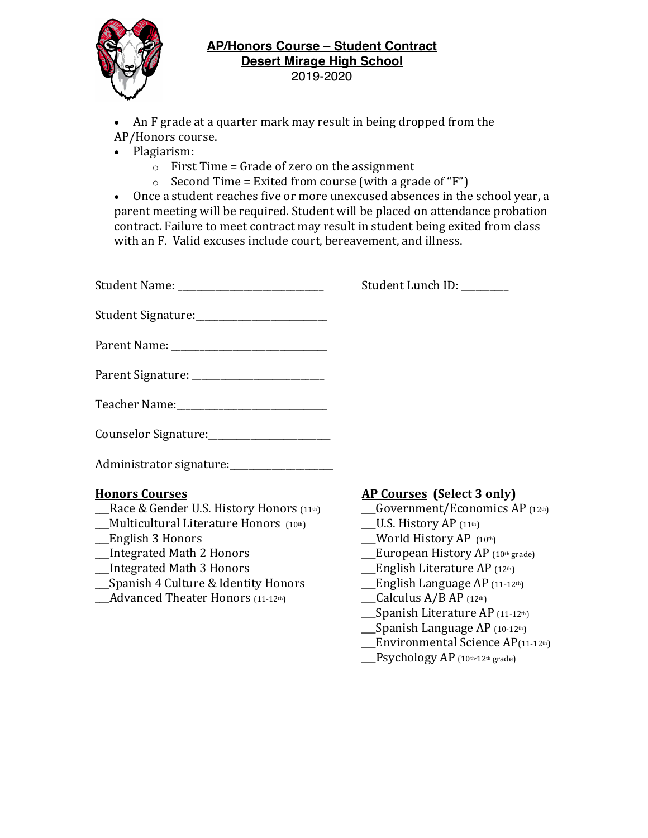

- An F grade at a quarter mark may result in being dropped from the
- AP/Honors course.
- Plagiarism:
	- $\circ$  First Time = Grade of zero on the assignment
	- $\circ$  Second Time = Exited from course (with a grade of "F")

• Once a student reaches five or more unexcused absences in the school year, a parent meeting will be required. Student will be placed on attendance probation contract. Failure to meet contract may result in student being exited from class with an F. Valid excuses include court, bereavement, and illness.

| Student Name: ____________________________     | Student Lunch ID: _______ |
|------------------------------------------------|---------------------------|
|                                                |                           |
|                                                |                           |
|                                                |                           |
|                                                |                           |
| Counselor Signature: ________________________  |                           |
| Administrator signature: _____________________ |                           |

- \_\_Race & Gender U.S. History Honors (11<sup>th</sup>) \_\_\_\_\_Government/Economics AP (12<sup>th</sup>)
- \_\_\_Multicultural Literature Honors (10th) \_\_\_U.S. History AP (11th)
- 
- 
- **\_\_Integrated Math 3 Honors \_\_\_\_\_\_\_\_\_\_\_\_\_\_\_\_\_\_\_\_\_\_\_\_\_\_\_\_English Literature AP** (12th)
- \_\_Spanish 4 Culture & Identity Honors \_\_\_\_\_\_\_\_\_\_\_\_\_\_\_\_English Language AP (11-12<sup>th</sup>)
- $\_\_\_$ Advanced Theater Honors (11-12<sup>th</sup>) \_\_\_\_\_\_\_\_\_\_\_\_\_\_\_Calculus A/B AP (12<sup>th</sup>)

## **Honors Courses AP Courses** (Select 3 only)

- 
- 
- $\text{\_}$ World History AP (10th)
- **\_\_Integrated Math 2 Honors \_\_\_\_\_\_\_\_\_\_\_\_\_\_\_\_\_\_\_\_\_\_\_\_\_\_\_\_\_European History AP** (10th grade)
	-
	-
	-
	- Spanish Literature AP  $(11-12<sup>th</sup>)$
	- $\sum$ Spanish Language AP (10-12th)
	- $\text{L}$ Environmental Science AP(11-12th)
	- \_\_Psychology AP (10th-12th grade)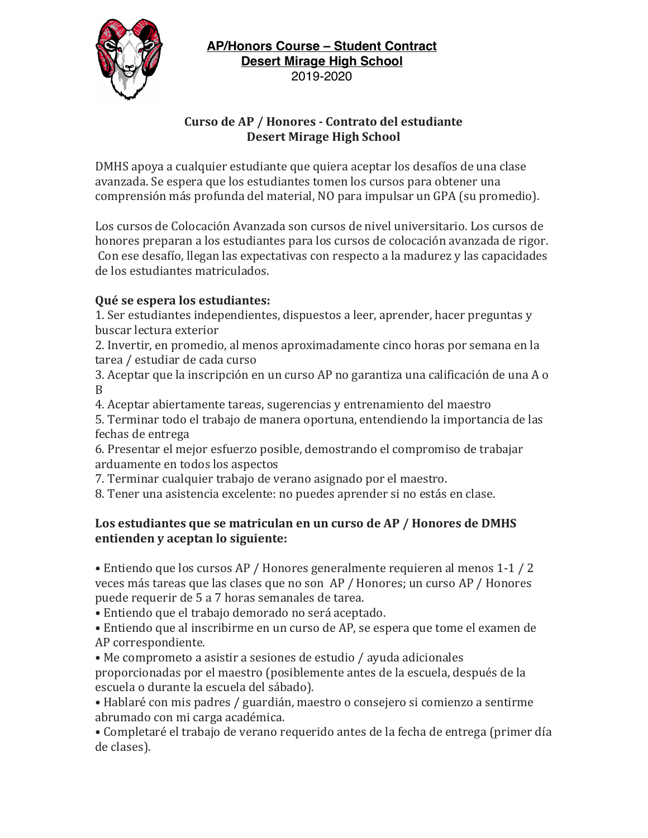

### **Curso de AP / Honores - Contrato del estudiante Desert Mirage High School**

DMHS apoya a cualquier estudiante que quiera aceptar los desafíos de una clase avanzada. Se espera que los estudiantes tomen los cursos para obtener una comprensión más profunda del material, NO para impulsar un GPA (su promedio).

Los cursos de Colocación Avanzada son cursos de nivel universitario. Los cursos de honores preparan a los estudiantes para los cursos de colocación avanzada de rigor. Con ese desafío, llegan las expectativas con respecto a la madurez y las capacidades de los estudiantes matriculados.

# **Qué se espera los estudiantes:**

1. Ser estudiantes independientes, dispuestos a leer, aprender, hacer preguntas y buscar lectura exterior

2. Invertir, en promedio, al menos aproximadamente cinco horas por semana en la tarea / estudiar de cada curso

3. Aceptar que la inscripción en un curso AP no garantiza una calificación de una A o B

4. Aceptar abiertamente tareas, sugerencias y entrenamiento del maestro

5. Terminar todo el trabajo de manera oportuna, entendiendo la importancia de las fechas de entrega

6. Presentar el mejor esfuerzo posible, demostrando el compromiso de trabajar arduamente en todos los aspectos

7. Terminar cualquier trabajo de verano asignado por el maestro.

8. Tener una asistencia excelente: no puedes aprender si no estás en clase.

## Los estudiantes que se matriculan en un curso de AP / Honores de DMHS **entienden y aceptan lo siguiente:**

• Entiendo que los cursos AP / Honores generalmente requieren al menos 1-1 / 2 veces más tareas que las clases que no son AP / Honores; un curso AP / Honores puede requerir de 5 a 7 horas semanales de tarea.

• Entiendo que el trabajo demorado no será aceptado.

• Entiendo que al inscribirme en un curso de AP, se espera que tome el examen de AP correspondiente.

• Me comprometo a asistir a sesiones de estudio / ayuda adicionales proporcionadas por el maestro (posiblemente antes de la escuela, después de la escuela o durante la escuela del sábado).

• Hablaré con mis padres / guardián, maestro o consejero si comienzo a sentirme abrumado con mi carga académica.

• Completaré el trabajo de verano requerido antes de la fecha de entrega (primer día de clases).